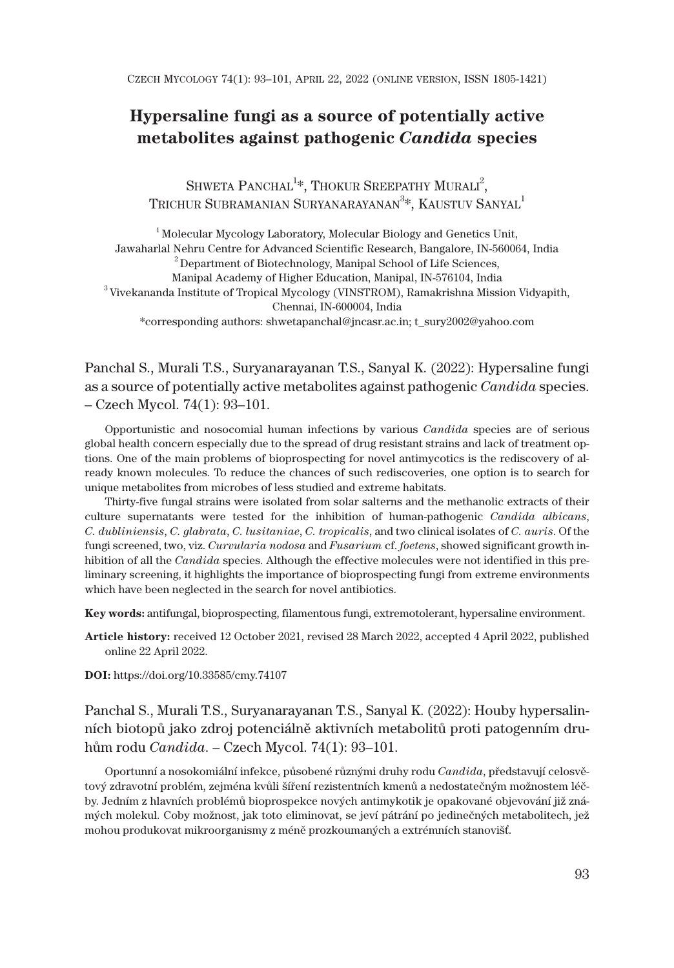# **Hypersaline fungi as a source of potentially active metabolites against pathogenic** *Candida* **species**

SHWETA PANCHAL<sup>1\*</sup>, THOKUR SREEPATHY MURALI<sup>2</sup>, TRICHUR SUBRAMANIAN SURYANARAYANAN $^3\!$ , Kaustuv Sanyal $^1$ 

1 Molecular Mycology Laboratory, Molecular Biology and Genetics Unit, Jawaharlal Nehru Centre for Advanced Scientific Research, Bangalore, IN-560064, India  $^{2}$ Department of Biotechnology, Manipal School of Life Sciences, Manipal Academy of Higher Education, Manipal, IN-576104, India  $^3$ Vivekananda Institute of Tropical Mycology (VINSTROM), Ramakrishna Mission Vidyapith, Chennai, IN-600004, India \*corresponding authors: shwetapanchal@jncasr.ac.in; t\_sury2002@yahoo.com

Panchal S., Murali T.S., Suryanarayanan T.S., Sanyal K. (2022): Hypersaline fungi as a source of potentially active metabolites against pathogenic *Candida* species. – Czech Mycol. 74(1): 93–101.

Opportunistic and nosocomial human infections by various *Candida* species are of serious global health concern especially due to the spread of drug resistant strains and lack of treatment options. One of the main problems of bioprospecting for novel antimycotics is the rediscovery of already known molecules. To reduce the chances of such rediscoveries, one option is to search for unique metabolites from microbes of less studied and extreme habitats.

Thirty-five fungal strains were isolated from solar salterns and the methanolic extracts of their culture supernatants were tested for the inhibition of human-pathogenic *Candida albicans*, *C. dubliniensis*, *C. glabrata*, *C. lusitaniae*, *C. tropicalis*, and two clinical isolates of *C. auris*. Of the fungi screened, two, viz. *Curvularia nodosa* and *Fusarium* cf. *foetens*, showed significant growth inhibition of all the *Candida* species. Although the effective molecules were not identified in this preliminary screening, it highlights the importance of bioprospecting fungi from extreme environments which have been neglected in the search for novel antibiotics.

**Key words:** antifungal, bioprospecting, filamentous fungi, extremotolerant, hypersaline environment.

**Article history:** received 12 October 2021, revised 28 March 2022, accepted 4 April 2022, published online 22 April 2022.

**DOI:** https://doi.org/10.33585/cmy.74107

Panchal S., Murali T.S., Suryanarayanan T.S., Sanyal K. (2022): Houby hypersalinních biotopů jako zdroj potenciálně aktivních metabolitů proti patogenním druhům rodu *Candida*. – Czech Mycol. 74(1): 93–101.

Oportunní a nosokomiální infekce, působené různými druhy rodu *Candida*, představují celosvětový zdravotní problém, zejména kvůli šíření rezistentních kmenů a nedostatečným možnostem léčby. Jedním z hlavních problémů bioprospekce nových antimykotik je opakované objevování již známých molekul. Coby možnost, jak toto eliminovat, se jeví pátrání po jedinečných metabolitech, jež mohou produkovat mikroorganismy z méně prozkoumaných a extrémních stanovišť.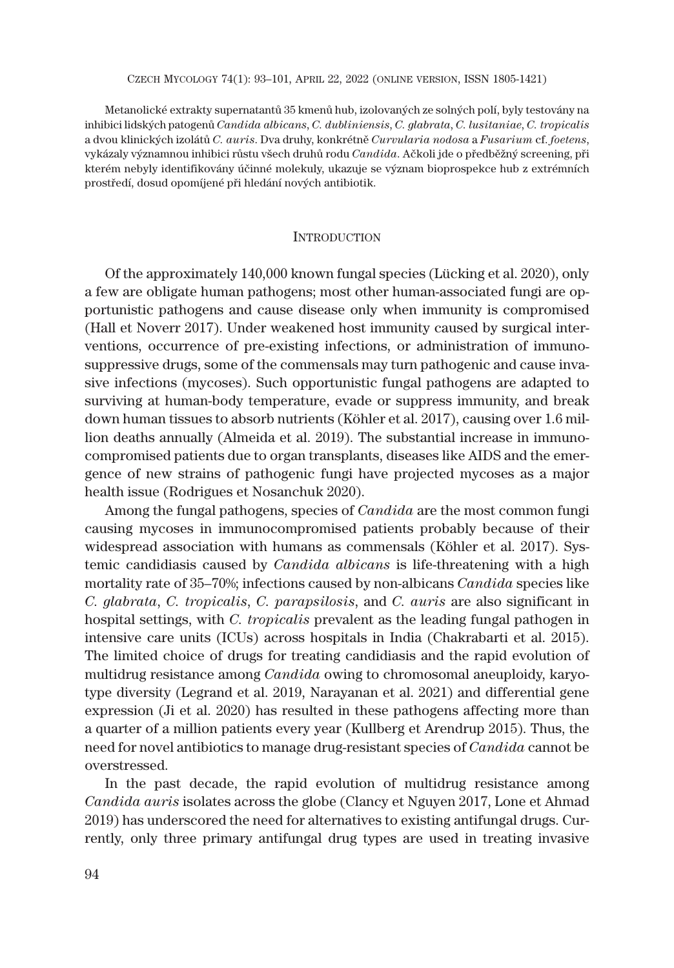CZECH MYCOLOGY 74(1): 93–101, APRIL 22, 2022 (ONLINE VERSION, ISSN 1805-1421)

Metanolické extrakty supernatantů 35 kmenů hub, izolovaných ze solných polí, byly testovány na inhibici lidských patogenů *Candida albicans*, *C. dubliniensis*, *C. glabrata*, *C. lusitaniae*, *C. tropicalis* a dvou klinických izolátů *C. auris*. Dva druhy, konkrétně *Curvularia nodosa* a *Fusarium* cf. *foetens*, vykázaly významnou inhibici růstu všech druhů rodu *Candida*. Ačkoli jde o předběžný screening, při kterém nebyly identifikovány účinné molekuly, ukazuje se význam bioprospekce hub z extrémních prostředí, dosud opomíjené při hledání nových antibiotik.

# **INTRODUCTION**

Of the approximately 140,000 known fungal species (Lücking et al. 2020), only a few are obligate human pathogens; most other human-associated fungi are opportunistic pathogens and cause disease only when immunity is compromised (Hall et Noverr 2017). Under weakened host immunity caused by surgical interventions, occurrence of pre-existing infections, or administration of immunosuppressive drugs, some of the commensals may turn pathogenic and cause invasive infections (mycoses). Such opportunistic fungal pathogens are adapted to surviving at human-body temperature, evade or suppress immunity, and break down human tissues to absorb nutrients (Köhler et al. 2017), causing over 1.6 million deaths annually (Almeida et al. 2019). The substantial increase in immunocompromised patients due to organ transplants, diseases like AIDS and the emergence of new strains of pathogenic fungi have projected mycoses as a major health issue (Rodrigues et Nosanchuk 2020).

Among the fungal pathogens, species of *Candida* are the most common fungi causing mycoses in immunocompromised patients probably because of their widespread association with humans as commensals (Köhler et al. 2017). Systemic candidiasis caused by *Candida albicans* is life-threatening with a high mortality rate of 35–70%; infections caused by non-albicans *Candida* species like *C. glabrata*, *C. tropicalis*, *C. parapsilosis*, and *C. auris* are also significant in hospital settings, with *C. tropicalis* prevalent as the leading fungal pathogen in intensive care units (ICUs) across hospitals in India (Chakrabarti et al. 2015). The limited choice of drugs for treating candidiasis and the rapid evolution of multidrug resistance among *Candida* owing to chromosomal aneuploidy, karyotype diversity (Legrand et al. 2019, Narayanan et al. 2021) and differential gene expression (Ji et al. 2020) has resulted in these pathogens affecting more than a quarter of a million patients every year (Kullberg et Arendrup 2015). Thus, the need for novel antibiotics to manage drug-resistant species of *Candida* cannot be overstressed.

In the past decade, the rapid evolution of multidrug resistance among *Candida auris* isolates across the globe (Clancy et Nguyen 2017, Lone et Ahmad 2019) has underscored the need for alternatives to existing antifungal drugs. Currently, only three primary antifungal drug types are used in treating invasive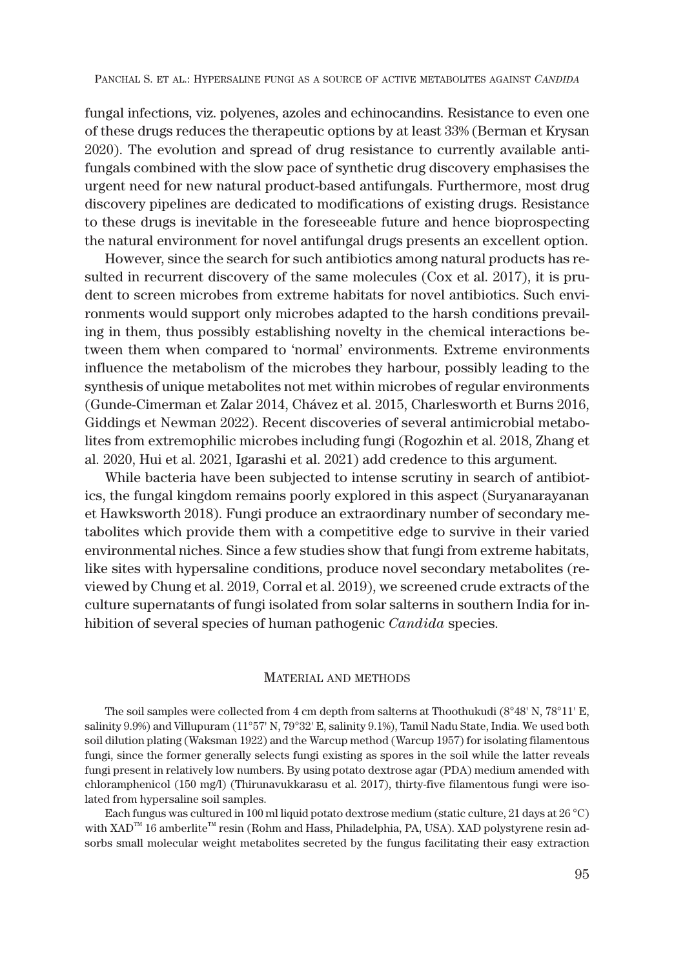fungal infections, viz. polyenes, azoles and echinocandins. Resistance to even one of these drugs reduces the therapeutic options by at least 33% (Berman et Krysan 2020). The evolution and spread of drug resistance to currently available antifungals combined with the slow pace of synthetic drug discovery emphasises the urgent need for new natural product-based antifungals. Furthermore, most drug discovery pipelines are dedicated to modifications of existing drugs. Resistance to these drugs is inevitable in the foreseeable future and hence bioprospecting the natural environment for novel antifungal drugs presents an excellent option.

However, since the search for such antibiotics among natural products has resulted in recurrent discovery of the same molecules (Cox et al. 2017), it is prudent to screen microbes from extreme habitats for novel antibiotics. Such environments would support only microbes adapted to the harsh conditions prevailing in them, thus possibly establishing novelty in the chemical interactions between them when compared to 'normal' environments. Extreme environments influence the metabolism of the microbes they harbour, possibly leading to the synthesis of unique metabolites not met within microbes of regular environments (Gunde-Cimerman et Zalar 2014, Chávez et al. 2015, Charlesworth et Burns 2016, Giddings et Newman 2022). Recent discoveries of several antimicrobial metabolites from extremophilic microbes including fungi (Rogozhin et al. 2018, Zhang et al. 2020, Hui et al. 2021, Igarashi et al. 2021) add credence to this argument*.*

While bacteria have been subjected to intense scrutiny in search of antibiotics, the fungal kingdom remains poorly explored in this aspect (Suryanarayanan et Hawksworth 2018). Fungi produce an extraordinary number of secondary metabolites which provide them with a competitive edge to survive in their varied environmental niches. Since a few studies show that fungi from extreme habitats, like sites with hypersaline conditions, produce novel secondary metabolites (reviewed by Chung et al. 2019, Corral et al. 2019), we screened crude extracts of the culture supernatants of fungi isolated from solar salterns in southern India for inhibition of several species of human pathogenic *Candida* species.

## MATERIAL AND METHODS

The soil samples were collected from 4 cm depth from salterns at Thoothukudi (8°48' N, 78°11' E, salinity 9.9%) and Villupuram (11°57' N, 79°32' E, salinity 9.1%), Tamil Nadu State, India. We used both soil dilution plating (Waksman 1922) and the Warcup method (Warcup 1957) for isolating filamentous fungi, since the former generally selects fungi existing as spores in the soil while the latter reveals fungi present in relatively low numbers. By using potato dextrose agar (PDA) medium amended with chloramphenicol (150 mg/l) (Thirunavukkarasu et al. 2017), thirty-five filamentous fungi were isolated from hypersaline soil samples.

Each fungus was cultured in 100 ml liquid potato dextrose medium (static culture, 21 days at 26 °C) with XAD<sup>™</sup> 16 amberlite<sup>™</sup> resin (Rohm and Hass, Philadelphia, PA, USA). XAD polystyrene resin adsorbs small molecular weight metabolites secreted by the fungus facilitating their easy extraction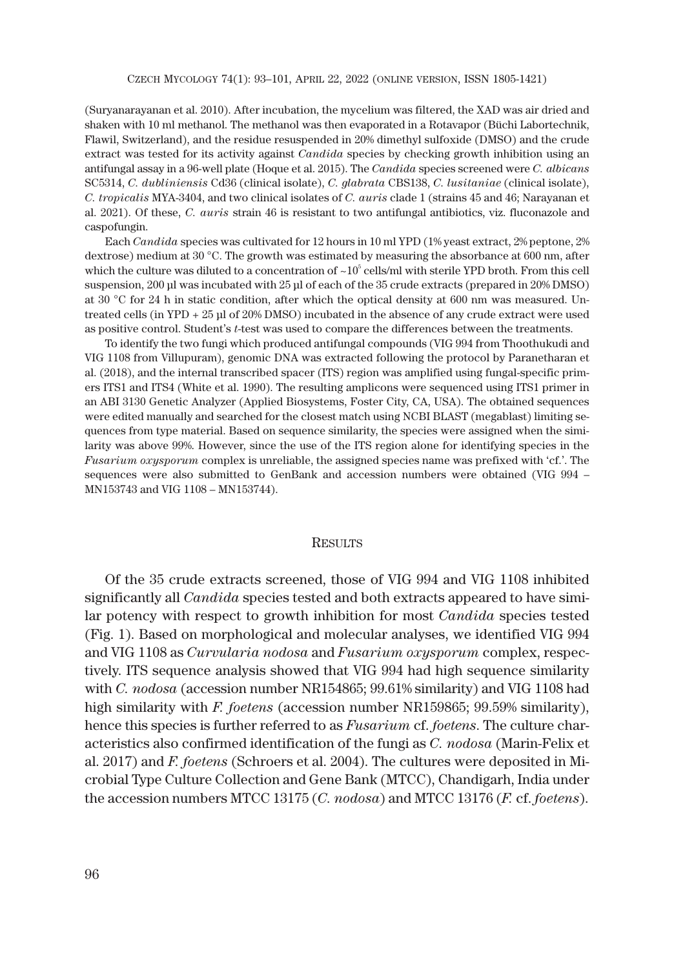(Suryanarayanan et al. 2010). After incubation, the mycelium was filtered, the XAD was air dried and shaken with 10 ml methanol. The methanol was then evaporated in a Rotavapor (Büchi Labortechnik, Flawil, Switzerland), and the residue resuspended in 20% dimethyl sulfoxide (DMSO) and the crude extract was tested for its activity against *Candida* species by checking growth inhibition using an antifungal assay in a 96-well plate (Hoque et al. 2015). The *Candida* species screened were *C. albicans* SC5314, *C. dubliniensis* Cd36 (clinical isolate), *C. glabrata* CBS138, *C. lusitaniae* (clinical isolate), *C. tropicalis* MYA-3404, and two clinical isolates of *C. auris* clade 1 (strains 45 and 46; Narayanan et al. 2021). Of these, *C. auris* strain 46 is resistant to two antifungal antibiotics, viz. fluconazole and caspofungin.

Each *Candida* species was cultivated for 12 hours in 10 ml YPD (1% yeast extract, 2% peptone, 2% dextrose) medium at 30 °C. The growth was estimated by measuring the absorbance at 600 nm, after which the culture was diluted to a concentration of  $\sim 10^5$  cells/ml with sterile YPD broth. From this cell suspension, 200 μl was incubated with 25 μl of each of the 35 crude extracts (prepared in 20% DMSO) at 30 °C for 24 h in static condition, after which the optical density at 600 nm was measured. Untreated cells (in YPD + 25 μl of 20% DMSO) incubated in the absence of any crude extract were used as positive control. Student's *t*-test was used to compare the differences between the treatments.

To identify the two fungi which produced antifungal compounds (VIG 994 from Thoothukudi and VIG 1108 from Villupuram), genomic DNA was extracted following the protocol by Paranetharan et al. (2018), and the internal transcribed spacer (ITS) region was amplified using fungal-specific primers ITS1 and ITS4 (White et al. 1990). The resulting amplicons were sequenced using ITS1 primer in an ABI 3130 Genetic Analyzer (Applied Biosystems, Foster City, CA, USA). The obtained sequences were edited manually and searched for the closest match using NCBI BLAST (megablast) limiting sequences from type material. Based on sequence similarity, the species were assigned when the similarity was above 99%. However, since the use of the ITS region alone for identifying species in the *Fusarium oxysporum* complex is unreliable, the assigned species name was prefixed with 'cf.'. The sequences were also submitted to GenBank and accession numbers were obtained (VIG 994 – MN153743 and VIG 1108 – MN153744).

#### **RESULTS**

Of the 35 crude extracts screened, those of VIG 994 and VIG 1108 inhibited significantly all *Candida* species tested and both extracts appeared to have similar potency with respect to growth inhibition for most *Candida* species tested (Fig. 1). Based on morphological and molecular analyses, we identified VIG 994 and VIG 1108 as *Curvularia nodosa* and *Fusarium oxysporum* complex, respectively. ITS sequence analysis showed that VIG 994 had high sequence similarity with *C. nodosa* (accession number NR154865; 99.61% similarity) and VIG 1108 had high similarity with *F. foetens* (accession number NR159865; 99.59% similarity), hence this species is further referred to as *Fusarium* cf. *foetens*. The culture characteristics also confirmed identification of the fungi as *C. nodosa* (Marin-Felix et al. 2017) and *F. foetens* (Schroers et al. 2004). The cultures were deposited in Microbial Type Culture Collection and Gene Bank (MTCC), Chandigarh, India under the accession numbers MTCC 13175 (*C. nodosa*) and MTCC 13176 (*F.* cf. *foetens*).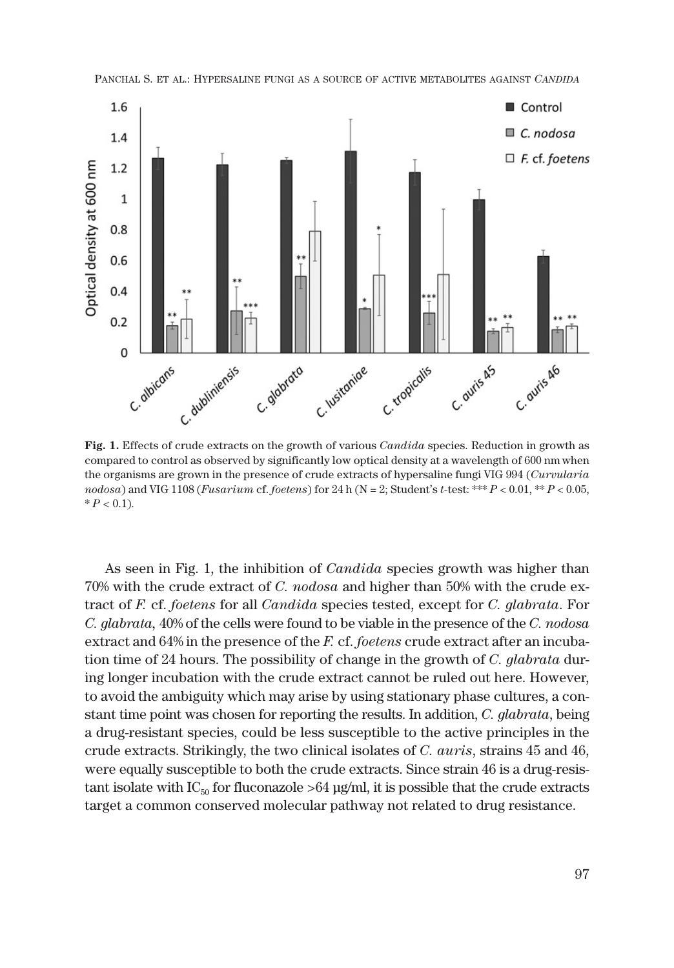

PANCHAL S. ET AL.: HYPERSALINE FUNGI AS A SOURCE OF ACTIVE METABOLITES AGAINST *CANDIDA*

**Fig. 1.** Effects of crude extracts on the growth of various *Candida* species. Reduction in growth as compared to control as observed by significantly low optical density at a wavelength of 600 nm when the organisms are grown in the presence of crude extracts of hypersaline fungi VIG 994 (*Curvularia nodosa*) and VIG 1108 (*Fusarium* cf. *foetens*) for 24 h (N = 2; Student's *t-*test: \*\*\* *P* < 0.01, \*\* *P* < 0.05,  $* P < 0.1$ ).

As seen in Fig. 1, the inhibition of *Candida* species growth was higher than 70% with the crude extract of *C. nodosa* and higher than 50% with the crude extract of *F.* cf. *foetens* for all *Candida* species tested, except for *C. glabrata*. For *C. glabrata,* 40% of the cells were found to be viable in the presence of the *C. nodosa* extract and 64% in the presence of the *F.* cf. *foetens* crude extract after an incubation time of 24 hours. The possibility of change in the growth of *C. glabrata* during longer incubation with the crude extract cannot be ruled out here. However, to avoid the ambiguity which may arise by using stationary phase cultures, a constant time point was chosen for reporting the results. In addition, *C. glabrata*, being a drug-resistant species, could be less susceptible to the active principles in the crude extracts. Strikingly, the two clinical isolates of *C. auris*, strains 45 and 46, were equally susceptible to both the crude extracts. Since strain 46 is a drug-resistant isolate with  $IC_{50}$  for fluconazole >64  $\mu$ g/ml, it is possible that the crude extracts target a common conserved molecular pathway not related to drug resistance.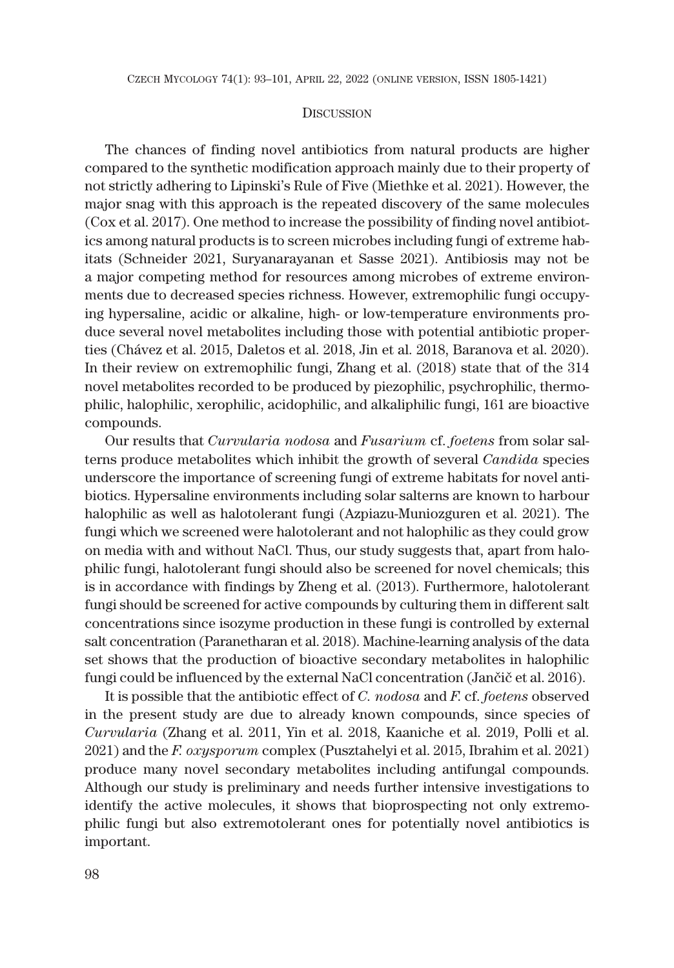### **DISCUSSION**

The chances of finding novel antibiotics from natural products are higher compared to the synthetic modification approach mainly due to their property of not strictly adhering to Lipinski's Rule of Five (Miethke et al. 2021). However, the major snag with this approach is the repeated discovery of the same molecules (Cox et al. 2017). One method to increase the possibility of finding novel antibiotics among natural products is to screen microbes including fungi of extreme habitats (Schneider 2021, Suryanarayanan et Sasse 2021). Antibiosis may not be a major competing method for resources among microbes of extreme environments due to decreased species richness. However, extremophilic fungi occupying hypersaline, acidic or alkaline, high- or low-temperature environments produce several novel metabolites including those with potential antibiotic properties (Chávez et al. 2015, Daletos et al. 2018, Jin et al. 2018, Baranova et al. 2020). In their review on extremophilic fungi, Zhang et al. (2018) state that of the 314 novel metabolites recorded to be produced by piezophilic, psychrophilic, thermophilic, halophilic, xerophilic, acidophilic, and alkaliphilic fungi, 161 are bioactive compounds.

Our results that *Curvularia nodosa* and *Fusarium* cf. *foetens* from solar salterns produce metabolites which inhibit the growth of several *Candida* species underscore the importance of screening fungi of extreme habitats for novel antibiotics. Hypersaline environments including solar salterns are known to harbour halophilic as well as halotolerant fungi (Azpiazu-Muniozguren et al. 2021). The fungi which we screened were halotolerant and not halophilic as they could grow on media with and without NaCl. Thus, our study suggests that, apart from halophilic fungi, halotolerant fungi should also be screened for novel chemicals; this is in accordance with findings by Zheng et al. (2013). Furthermore, halotolerant fungi should be screened for active compounds by culturing them in different salt concentrations since isozyme production in these fungi is controlled by external salt concentration (Paranetharan et al. 2018). Machine-learning analysis of the data set shows that the production of bioactive secondary metabolites in halophilic fungi could be influenced by the external NaCl concentration (Jančič et al. 2016).

It is possible that the antibiotic effect of *C. nodosa* and *F*. cf. *foetens* observed in the present study are due to already known compounds, since species of *Curvularia* (Zhang et al. 2011, Yin et al. 2018, Kaaniche et al. 2019, Polli et al. 2021) and the *F. oxysporum* complex (Pusztahelyi et al. 2015, Ibrahim et al. 2021) produce many novel secondary metabolites including antifungal compounds. Although our study is preliminary and needs further intensive investigations to identify the active molecules, it shows that bioprospecting not only extremophilic fungi but also extremotolerant ones for potentially novel antibiotics is important.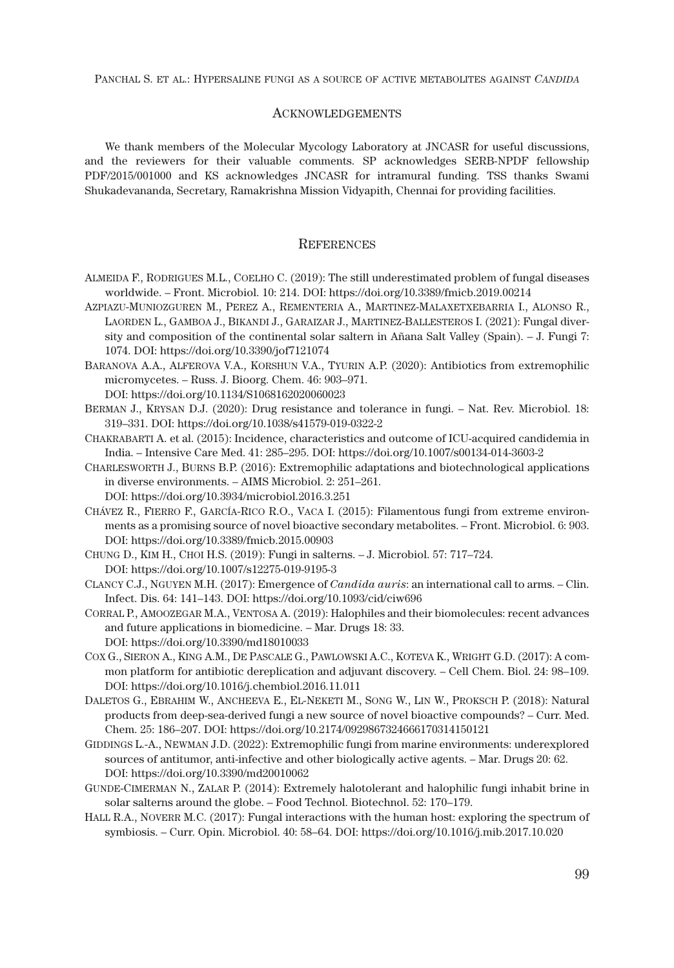#### **ACKNOWLEDGEMENTS**

We thank members of the Molecular Mycology Laboratory at JNCASR for useful discussions, and the reviewers for their valuable comments. SP acknowledges SERB-NPDF fellowship PDF/2015/001000 and KS acknowledges JNCASR for intramural funding. TSS thanks Swami Shukadevananda, Secretary, Ramakrishna Mission Vidyapith, Chennai for providing facilities.

# **REFERENCES**

- ALMEIDA F., RODRIGUES M.L., COELHO C. (2019): The still underestimated problem of fungal diseases worldwide. – Front. Microbiol. 10: 214. DOI: https://doi.org/10.3389/fmicb.2019.00214
- AZPIAZU-MUNIOZGUREN M., PEREZ A., REMENTERIA A., MARTINEZ-MALAXETXEBARRIA I., ALONSO R., LAORDEN L., GAMBOA J., BIKANDI J., GARAIZAR J., MARTINEZ-BALLESTEROS I. (2021): Fungal diversity and composition of the continental solar saltern in Ańana Salt Valley (Spain). – J. Fungi 7: 1074. DOI: https://doi.org/10.3390/jof7121074
- BARANOVA A.A., ALFEROVA V.A., KORSHUN V.A., TYURIN A.P. (2020): Antibiotics from extremophilic micromycetes. – Russ. J. Bioorg. Chem. 46: 903–971. DOI: https://doi.org/10.1134/S1068162020060023
- BERMAN J., KRYSAN D.J. (2020): Drug resistance and tolerance in fungi. Nat. Rev. Microbiol. 18: 319–331. DOI: https://doi.org/10.1038/s41579-019-0322-2
- CHAKRABARTI A. et al. (2015): Incidence, characteristics and outcome of ICU-acquired candidemia in India. – Intensive Care Med. 41: 285–295. DOI: https://doi.org/10.1007/s00134-014-3603-2
- CHARLESWORTH J., BURNS B.P. (2016): Extremophilic adaptations and biotechnological applications in diverse environments. – AIMS Microbiol. 2: 251–261.
	- DOI: https://doi.org/10.3934/microbiol.2016.3.251
- CHÁVEZ R., FIERRO F., GARCÍA-RICO R.O., VACA I. (2015): Filamentous fungi from extreme environments as a promising source of novel bioactive secondary metabolites. – Front. Microbiol. 6: 903. DOI: https://doi.org/10.3389/fmicb.2015.00903
- CHUNG D., KIM H., CHOI H.S. (2019): Fungi in salterns. J. Microbiol. 57: 717–724. DOI: https://doi.org/10.1007/s12275-019-9195-3
- CLANCY C.J., NGUYEN M.H. (2017): Emergence of *Candida auris*: an international call to arms. Clin. Infect. Dis. 64: 141–143. DOI: https://doi.org/10.1093/cid/ciw696
- CORRAL P., AMOOZEGAR M.A., VENTOSA A. (2019): Halophiles and their biomolecules: recent advances and future applications in biomedicine. – Mar. Drugs 18: 33. DOI: https://doi.org/10.3390/md18010033
- COX G., SIERON A., KING A.M., DE PASCALE G., PAWLOWSKI A.C., KOTEVA K., WRIGHT G.D. (2017): A common platform for antibiotic dereplication and adjuvant discovery. – Cell Chem. Biol. 24: 98–109. DOI: https://doi.org/10.1016/j.chembiol.2016.11.011
- DALETOS G., EBRAHIM W., ANCHEEVA E., EL-NEKETI M., SONG W., LIN W., PROKSCH P. (2018): Natural products from deep-sea-derived fungi a new source of novel bioactive compounds? – Curr. Med. Chem. 25: 186–207. DOI: https://doi.org/10.2174/0929867324666170314150121
- GIDDINGS L.-A., NEWMAN J.D. (2022): Extremophilic fungi from marine environments: underexplored sources of antitumor, anti-infective and other biologically active agents. – Mar. Drugs 20: 62. DOI: https://doi.org/10.3390/md20010062
- GUNDE-CIMERMAN N., ZALAR P. (2014): Extremely halotolerant and halophilic fungi inhabit brine in solar salterns around the globe. – Food Technol. Biotechnol. 52: 170–179.
- HALL R.A., NOVERR M.C. (2017): Fungal interactions with the human host: exploring the spectrum of symbiosis. – Curr. Opin. Microbiol. 40: 58–64. DOI: https://doi.org/10.1016/j.mib.2017.10.020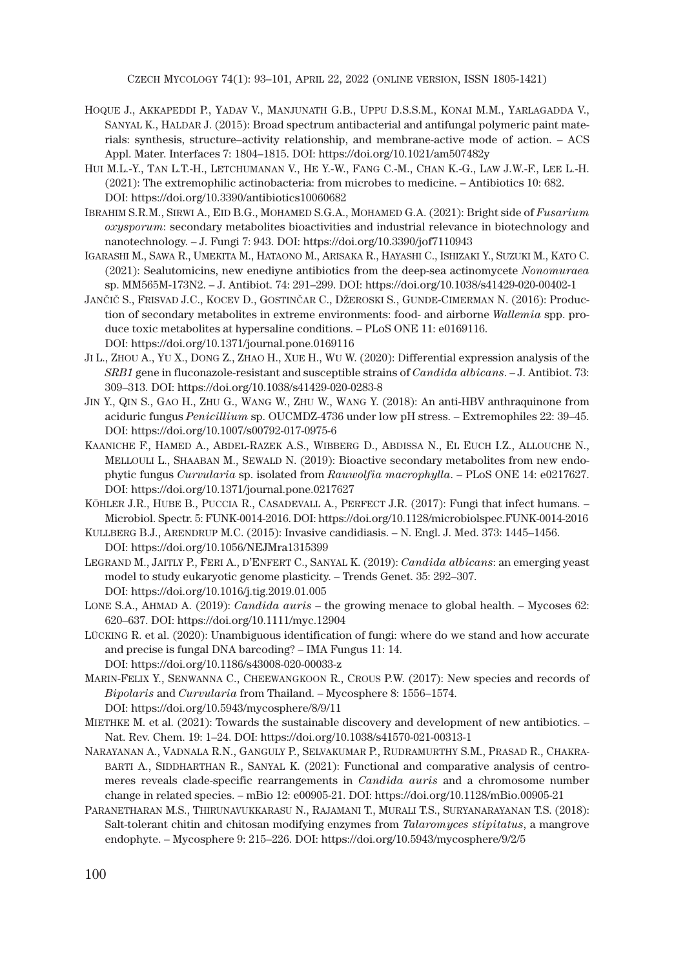CZECH MYCOLOGY 74(1): 93–101, APRIL 22, 2022 (ONLINE VERSION, ISSN 1805-1421)

- HOQUE J., AKKAPEDDI P., YADAV V., MANJUNATH G.B., UPPU D.S.S.M., KONAI M.M., YARLAGADDA V., SANYAL K., HALDAR J. (2015): Broad spectrum antibacterial and antifungal polymeric paint materials: synthesis, structure–activity relationship, and membrane-active mode of action. – ACS Appl. Mater. Interfaces 7: 1804–1815. DOI: https://doi.org/10.1021/am507482y
- HUI M.L.-Y., TAN L.T.-H., LETCHUMANAN V., HE Y.-W., FANG C.-M., CHAN K.-G., LAW J.W.-F., LEE L.-H. (2021): The extremophilic actinobacteria: from microbes to medicine. – Antibiotics 10: 682. DOI: https://doi.org/10.3390/antibiotics10060682
- IBRAHIM S.R.M., SIRWI A., EID B.G., MOHAMED S.G.A., MOHAMED G.A. (2021): Bright side of *Fusarium oxysporum*: secondary metabolites bioactivities and industrial relevance in biotechnology and nanotechnology. – J. Fungi 7: 943. DOI: https://doi.org/10.3390/jof7110943
- IGARASHI M., SAWA R., UMEKITA M., HATAONO M., ARISAKA R., HAYASHI C., ISHIZAKI Y., SUZUKI M., KATO C. (2021): Sealutomicins, new enediyne antibiotics from the deep-sea actinomycete *Nonomuraea* sp. MM565M-173N2. – J. Antibiot. 74: 291–299. DOI: https://doi.org/10.1038/s41429-020-00402-1
- JANČIČ S., FRISVAD J.C., KOCEV D., GOSTINČAR C., DŽEROSKI S., GUNDE-CIMERMAN N. (2016): Production of secondary metabolites in extreme environments: food- and airborne *Wallemia* spp. produce toxic metabolites at hypersaline conditions. – PLoS ONE 11: e0169116. DOI: https://doi.org/10.1371/journal.pone.0169116
- JI L., ZHOU A., YU X., DONG Z., ZHAO H., XUE H., WU W. (2020): Differential expression analysis of the *SRB1* gene in fluconazole-resistant and susceptible strains of *Candida albicans*. – J. Antibiot. 73: 309–313. DOI: https://doi.org/10.1038/s41429-020-0283-8
- JIN Y., QIN S., GAO H., ZHU G., WANG W., ZHU W., WANG Y. (2018): An anti-HBV anthraquinone from aciduric fungus *Penicillium* sp. OUCMDZ-4736 under low pH stress. – Extremophiles 22: 39–45. DOI: https://doi.org/10.1007/s00792-017-0975-6
- KAANICHE F., HAMED A., ABDEL-RAZEK A.S., WIBBERG D., ABDISSA N., EL EUCH I.Z., ALLOUCHE N., MELLOULI L., SHAABAN M., SEWALD N. (2019): Bioactive secondary metabolites from new endophytic fungus *Curvularia* sp. isolated from *Rauwolfia macrophylla*. – PLoS ONE 14: e0217627. DOI: https://doi.org/10.1371/journal.pone.0217627
- KÖHLER J.R., HUBE B., PUCCIA R., CASADEVALL A., PERFECT J.R. (2017): Fungi that infect humans. Microbiol. Spectr. 5: FUNK-0014-2016. DOI: https://doi.org/10.1128/microbiolspec.FUNK-0014-2016
- KULLBERG B.J., ARENDRUP M.C. (2015): Invasive candidiasis. N. Engl. J. Med. 373: 1445–1456. DOI: https://doi.org/10.1056/NEJMra1315399
- LEGRAND M., JAITLY P., FERI A., D'ENFERT C., SANYAL K. (2019): *Candida albicans*: an emerging yeast model to study eukaryotic genome plasticity. – Trends Genet. 35: 292–307. DOI: https://doi.org/10.1016/j.tig.2019.01.005
- LONE S.A., AHMAD A. (2019): *Candida auris* the growing menace to global health. Mycoses 62: 620–637. DOI: https://doi.org/10.1111/myc.12904
- LÜCKING R. et al. (2020): Unambiguous identification of fungi: where do we stand and how accurate and precise is fungal DNA barcoding? – IMA Fungus 11: 14. DOI: https://doi.org/10.1186/s43008-020-00033-z
- MARIN-FELIX Y., SENWANNA C., CHEEWANGKOON R., CROUS P.W. (2017): New species and records of *Bipolaris* and *Curvularia* from Thailand. – Mycosphere 8: 1556–1574. DOI: https://doi.org/10.5943/mycosphere/8/9/11
- MIETHKE M. et al. (2021): Towards the sustainable discovery and development of new antibiotics. Nat. Rev. Chem. 19: 1–24. DOI: https://doi.org/10.1038/s41570-021-00313-1
- NARAYANAN A., VADNALA R.N., GANGULY P., SELVAKUMAR P., RUDRAMURTHY S.M., PRASAD R., CHAKRA-BARTI A., SIDDHARTHAN R., SANYAL K. (2021): Functional and comparative analysis of centromeres reveals clade-specific rearrangements in *Candida auris* and a chromosome number change in related species. – mBio 12: e00905-21. DOI: https://doi.org/10.1128/mBio.00905-21
- PARANETHARAN M.S., THIRUNAVUKKARASU N., RAJAMANI T., MURALI T.S., SURYANARAYANAN T.S. (2018): Salt-tolerant chitin and chitosan modifying enzymes from *Talaromyces stipitatus*, a mangrove endophyte. – Mycosphere 9: 215–226. DOI: https://doi.org/10.5943/mycosphere/9/2/5